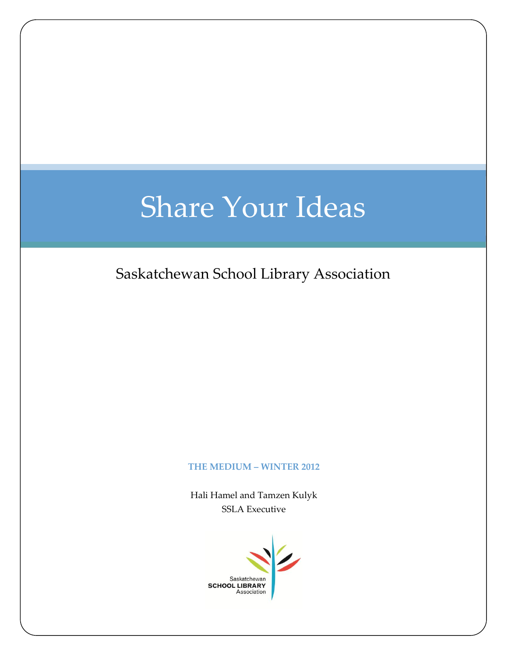# Share Your Ideas

Saskatchewan School Library Association

#### **THE MEDIUM – WINTER 2012**

Hali Hamel and Tamzen Kulyk SSLA Executive

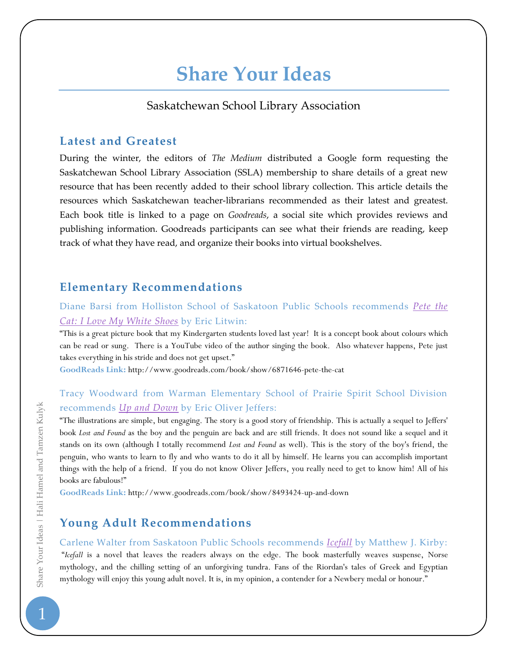# **Share Your Ideas**

#### Saskatchewan School Library Association

#### **Latest and Greatest**

During the winter, the editors of *The Medium* distributed a Google form requesting the Saskatchewan School Library Association (SSLA) membership to share details of a great new resource that has been recently added to their school library collection. This article details the resources which Saskatchewan teacher-librarians recommended as their latest and greatest. Each book title is linked to a page on *Goodreads*, a social site which provides reviews and publishing information. Goodreads participants can see what their friends are reading, keep track of what they have read, and organize their books into virtual bookshelves.

## **Elementary Recommendations**

Diane Barsi from Holliston School of Saskatoon Public Schools recommends *[Pete the](http://www.goodreads.com/book/show/6871646-pete-the-cat)  [Cat: I Love My White Shoes](http://www.goodreads.com/book/show/6871646-pete-the-cat)* by Eric Litwin:

"This is a great picture book that my Kindergarten students loved last year! It is a concept book about colours which can be read or sung. There is a YouTube video of the author singing the book. Also whatever happens, Pete just takes everything in his stride and does not get upset."

**GoodReads Link:** http://www.goodreads.com/book/show/6871646-pete-the-cat

#### Tracy Woodward from Warman Elementary School of Prairie Spirit School Division recommends *[Up and Down](http://www.goodreads.com/book/show/8493424-up-and-down)* by Eric Oliver Jeffers:

"The illustrations are simple, but engaging. The story is a good story of friendship. This is actually a sequel to Jeffers' book *Lost and Found* as the boy and the penguin are back and are still friends. It does not sound like a sequel and it stands on its own (although I totally recommend *Lost and Found* as well). This is the story of the boy's friend, the penguin, who wants to learn to fly and who wants to do it all by himself. He learns you can accomplish important things with the help of a friend. If you do not know Oliver Jeffers, you really need to get to know him! All of his books are fabulous!"

**GoodReads Link:** http://www.goodreads.com/book/show/8493424-up-and-down

# **Young Adult Recommendations**

Carlene Walter from Saskatoon Public Schools recommends *[Icefall](http://www.goodreads.com/book/show/10626639-icefall)* by Matthew J. Kirby: "*Icefall* is a novel that leaves the readers always on the edge. The book masterfully weaves suspense, Norse mythology, and the chilling setting of an unforgiving tundra. Fans of the Riordan's tales of Greek and Egyptian mythology will enjoy this young adult novel. It is, in my opinion, a contender for a Newbery medal or honour."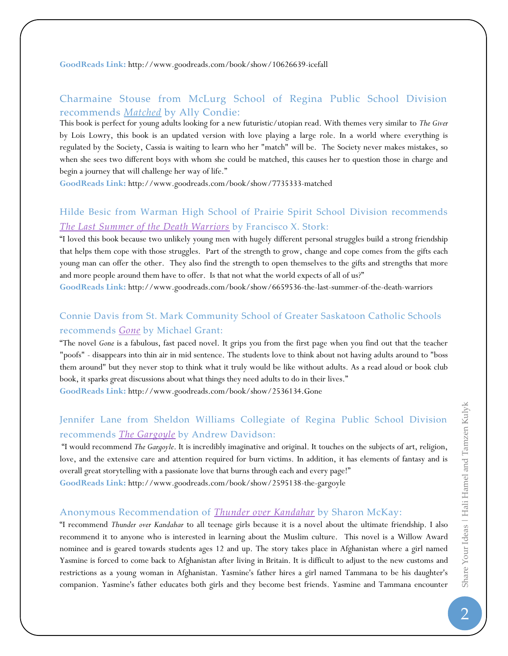**GoodReads Link:** http://www.goodreads.com/book/show/10626639-icefall

## Charmaine Stouse from McLurg School of Regina Public School Division recommends *[Matched](http://www.goodreads.com/book/show/7735333-matched)* by Ally Condie:

This book is perfect for young adults looking for a new futuristic/utopian read. With themes very similar to *The Giver* by Lois Lowry, this book is an updated version with love playing a large role. In a world where everything is regulated by the Society, Cassia is waiting to learn who her "match" will be. The Society never makes mistakes, so when she sees two different boys with whom she could be matched, this causes her to question those in charge and begin a journey that will challenge her way of life."

**GoodReads Link:** http://www.goodreads.com/book/show/7735333-matched

# Hilde Besic from Warman High School of Prairie Spirit School Division recommends *[The Last Summer of the Death Warriors](http://www.goodreads.com/book/show/6659536-the-last-summer-of-the-death-warriors)* by Francisco X. Stork:

"I loved this book because two unlikely young men with hugely different personal struggles build a strong friendship that helps them cope with those struggles. Part of the strength to grow, change and cope comes from the gifts each young man can offer the other. They also find the strength to open themselves to the gifts and strengths that more and more people around them have to offer. Is that not what the world expects of all of us?"

**GoodReads Link:** http://www.goodreads.com/book/show/6659536-the-last-summer-of-the-death-warriors

# Connie Davis from St. Mark Community School of Greater Saskatoon Catholic Schools recommends *[Gone](http://www.goodreads.com/book/show/2536134.Gone)* by Michael Grant:

"The novel *Gone* is a fabulous, fast paced novel. It grips you from the first page when you find out that the teacher "poofs" - disappears into thin air in mid sentence. The students love to think about not having adults around to "boss them around" but they never stop to think what it truly would be like without adults. As a read aloud or book club book, it sparks great discussions about what things they need adults to do in their lives."

**GoodReads Link:** http://www.goodreads.com/book/show/2536134.Gone

# Jennifer Lane from Sheldon Williams Collegiate of Regina Public School Division recommends *[The Gargoyle](http://www.goodreads.com/book/show/2595138-the-gargoyle)* by Andrew Davidson:

"I would recommend *The Gargoyle*. It is incredibly imaginative and original. It touches on the subjects of art, religion, love, and the extensive care and attention required for burn victims. In addition, it has elements of fantasy and is overall great storytelling with a passionate love that burns through each and every page!"

**GoodReads Link:** http://www.goodreads.com/book/show/2595138-the-gargoyle

#### Anonymous Recommendation of *[Thunder over Kandahar](http://www.goodreads.com/book/show/8078021-thunder-over-kandahar)* by Sharon McKay:

"I recommend *Thunder over Kandahar* to all teenage girls because it is a novel about the ultimate friendship. I also recommend it to anyone who is interested in learning about the Muslim culture. This novel is a Willow Award nominee and is geared towards students ages 12 and up. The story takes place in Afghanistan where a girl named Yasmine is forced to come back to Afghanistan after living in Britain. It is difficult to adjust to the new customs and restrictions as a young woman in Afghanistan. Yasmine's father hires a girl named Tammana to be his daughter's companion. Yasmine's father educates both girls and they become best friends. Yasmine and Tammana encounter